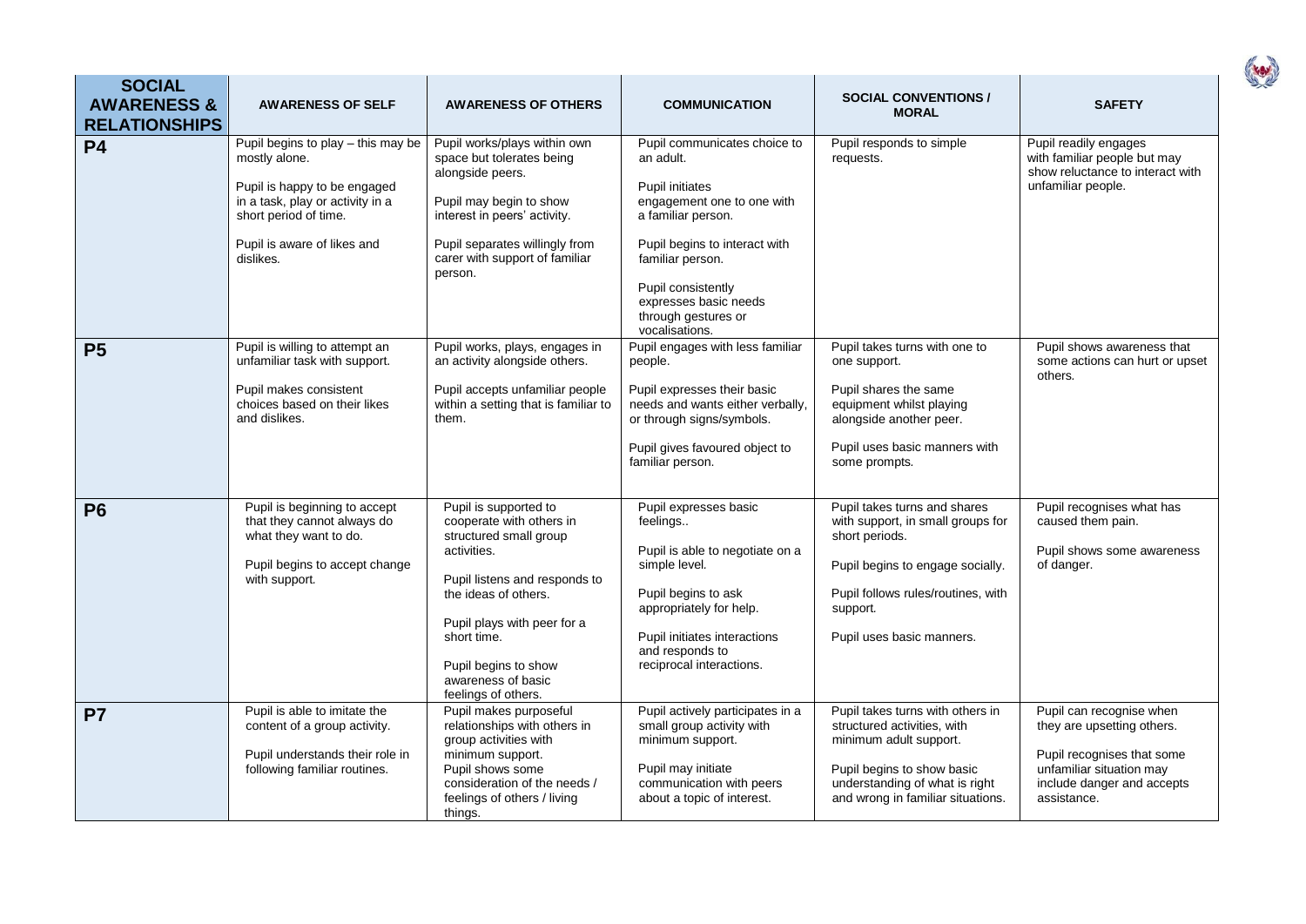| <b>SOCIAL</b><br><b>AWARENESS &amp;</b><br><b>RELATIONSHIPS</b> | <b>AWARENESS OF SELF</b>                                                                                                                                                                     | <b>AWARENESS OF OTHERS</b>                                                                                                                                                                                                                                             | <b>COMMUNICATION</b>                                                                                                                                                                                                                                                 | <b>SOCIAL CONVENTIONS /</b><br><b>MORAL</b>                                                                                                                                                            | <b>SAFETY</b>                                                                                                                                                 |
|-----------------------------------------------------------------|----------------------------------------------------------------------------------------------------------------------------------------------------------------------------------------------|------------------------------------------------------------------------------------------------------------------------------------------------------------------------------------------------------------------------------------------------------------------------|----------------------------------------------------------------------------------------------------------------------------------------------------------------------------------------------------------------------------------------------------------------------|--------------------------------------------------------------------------------------------------------------------------------------------------------------------------------------------------------|---------------------------------------------------------------------------------------------------------------------------------------------------------------|
| <b>P4</b>                                                       | Pupil begins to play - this may be<br>mostly alone.<br>Pupil is happy to be engaged<br>in a task, play or activity in a<br>short period of time.<br>Pupil is aware of likes and<br>dislikes. | Pupil works/plays within own<br>space but tolerates being<br>alongside peers.<br>Pupil may begin to show<br>interest in peers' activity.<br>Pupil separates willingly from<br>carer with support of familiar<br>person.                                                | Pupil communicates choice to<br>an adult.<br><b>Pupil initiates</b><br>engagement one to one with<br>a familiar person.<br>Pupil begins to interact with<br>familiar person.<br>Pupil consistently<br>expresses basic needs<br>through gestures or<br>vocalisations. | Pupil responds to simple<br>requests.                                                                                                                                                                  | Pupil readily engages<br>with familiar people but may<br>show reluctance to interact with<br>unfamiliar people.                                               |
| <b>P5</b>                                                       | Pupil is willing to attempt an<br>unfamiliar task with support.<br>Pupil makes consistent<br>choices based on their likes<br>and dislikes.                                                   | Pupil works, plays, engages in<br>an activity alongside others.<br>Pupil accepts unfamiliar people<br>within a setting that is familiar to<br>them.                                                                                                                    | Pupil engages with less familiar<br>people.<br>Pupil expresses their basic<br>needs and wants either verbally,<br>or through signs/symbols.<br>Pupil gives favoured object to<br>familiar person.                                                                    | Pupil takes turns with one to<br>one support.<br>Pupil shares the same<br>equipment whilst playing<br>alongside another peer.<br>Pupil uses basic manners with<br>some prompts.                        | Pupil shows awareness that<br>some actions can hurt or upset<br>others.                                                                                       |
| P <sub>6</sub>                                                  | Pupil is beginning to accept<br>that they cannot always do<br>what they want to do.<br>Pupil begins to accept change<br>with support.                                                        | Pupil is supported to<br>cooperate with others in<br>structured small group<br>activities.<br>Pupil listens and responds to<br>the ideas of others.<br>Pupil plays with peer for a<br>short time.<br>Pupil begins to show<br>awareness of basic<br>feelings of others. | Pupil expresses basic<br>feelings<br>Pupil is able to negotiate on a<br>simple level.<br>Pupil begins to ask<br>appropriately for help.<br>Pupil initiates interactions<br>and responds to<br>reciprocal interactions.                                               | Pupil takes turns and shares<br>with support, in small groups for<br>short periods.<br>Pupil begins to engage socially.<br>Pupil follows rules/routines, with<br>support.<br>Pupil uses basic manners. | Pupil recognises what has<br>caused them pain.<br>Pupil shows some awareness<br>of danger.                                                                    |
| P <sub>7</sub>                                                  | Pupil is able to imitate the<br>content of a group activity.<br>Pupil understands their role in<br>following familiar routines.                                                              | Pupil makes purposeful<br>relationships with others in<br>group activities with<br>minimum support.<br>Pupil shows some<br>consideration of the needs /<br>feelings of others / living<br>things.                                                                      | Pupil actively participates in a<br>small group activity with<br>minimum support.<br>Pupil may initiate<br>communication with peers<br>about a topic of interest.                                                                                                    | Pupil takes turns with others in<br>structured activities, with<br>minimum adult support.<br>Pupil begins to show basic<br>understanding of what is right<br>and wrong in familiar situations.         | Pupil can recognise when<br>they are upsetting others.<br>Pupil recognises that some<br>unfamiliar situation may<br>include danger and accepts<br>assistance. |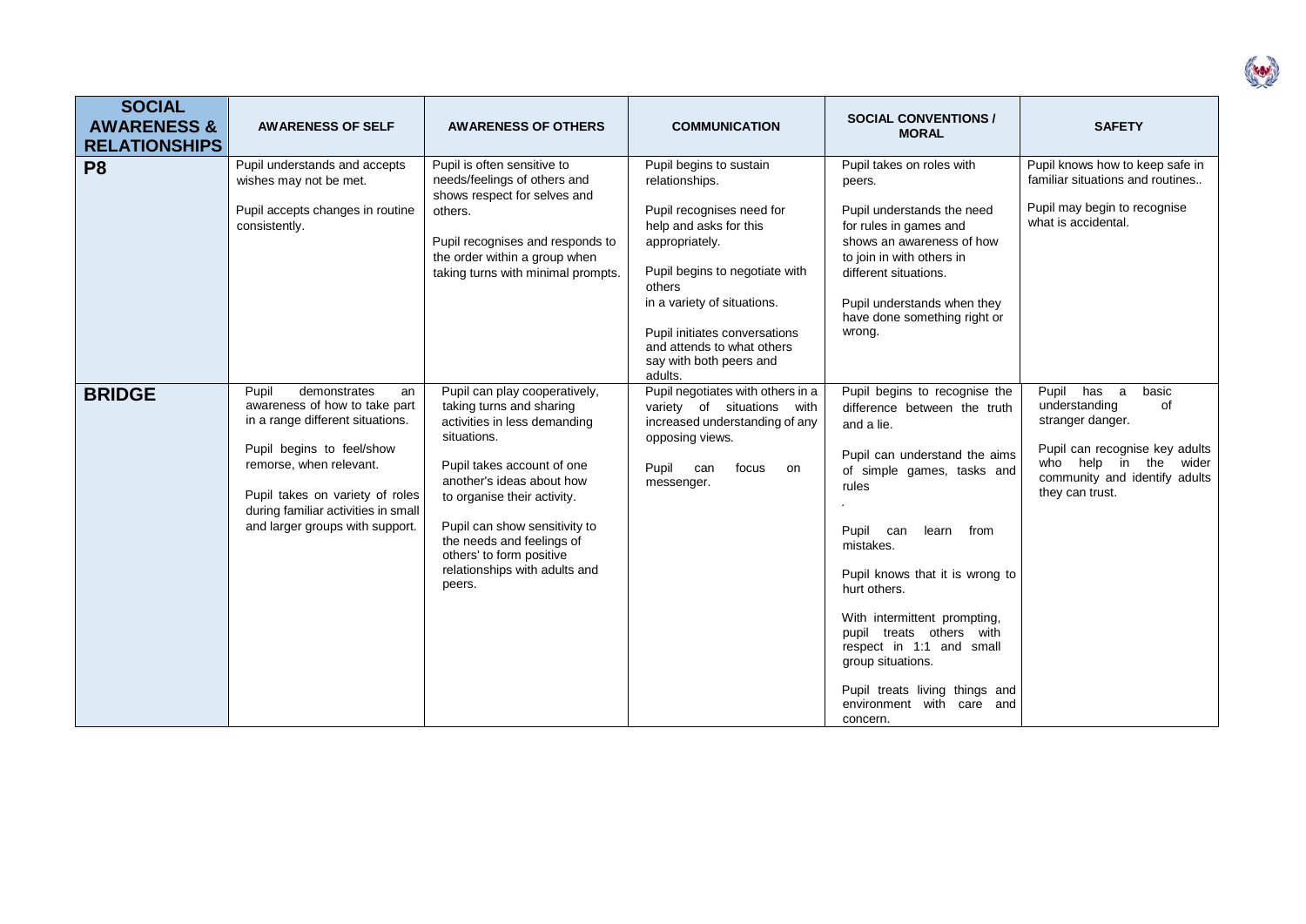| <b>SOCIAL</b><br><b>AWARENESS &amp;</b><br><b>RELATIONSHIPS</b> | <b>AWARENESS OF SELF</b>                                                                                                                                                                                                                                              | <b>AWARENESS OF OTHERS</b>                                                                                                                                                                                                                                                                                                              | <b>COMMUNICATION</b>                                                                                                                                                                                                                                                                               | <b>SOCIAL CONVENTIONS /</b><br><b>MORAL</b>                                                                                                                                                                                                                                                                                                                                                                                            | <b>SAFETY</b>                                                                                                                                                                  |
|-----------------------------------------------------------------|-----------------------------------------------------------------------------------------------------------------------------------------------------------------------------------------------------------------------------------------------------------------------|-----------------------------------------------------------------------------------------------------------------------------------------------------------------------------------------------------------------------------------------------------------------------------------------------------------------------------------------|----------------------------------------------------------------------------------------------------------------------------------------------------------------------------------------------------------------------------------------------------------------------------------------------------|----------------------------------------------------------------------------------------------------------------------------------------------------------------------------------------------------------------------------------------------------------------------------------------------------------------------------------------------------------------------------------------------------------------------------------------|--------------------------------------------------------------------------------------------------------------------------------------------------------------------------------|
| P <sub>8</sub>                                                  | Pupil understands and accepts<br>wishes may not be met.<br>Pupil accepts changes in routine<br>consistently.                                                                                                                                                          | Pupil is often sensitive to<br>needs/feelings of others and<br>shows respect for selves and<br>others.<br>Pupil recognises and responds to<br>the order within a group when<br>taking turns with minimal prompts.                                                                                                                       | Pupil begins to sustain<br>relationships.<br>Pupil recognises need for<br>help and asks for this<br>appropriately.<br>Pupil begins to negotiate with<br>others<br>in a variety of situations.<br>Pupil initiates conversations<br>and attends to what others<br>say with both peers and<br>adults. | Pupil takes on roles with<br>peers.<br>Pupil understands the need<br>for rules in games and<br>shows an awareness of how<br>to join in with others in<br>different situations.<br>Pupil understands when they<br>have done something right or<br>wrong.                                                                                                                                                                                | Pupil knows how to keep safe in<br>familiar situations and routines<br>Pupil may begin to recognise<br>what is accidental.                                                     |
| <b>BRIDGE</b>                                                   | Pupil<br>demonstrates<br>an<br>awareness of how to take part<br>in a range different situations.<br>Pupil begins to feel/show<br>remorse, when relevant.<br>Pupil takes on variety of roles<br>during familiar activities in small<br>and larger groups with support. | Pupil can play cooperatively,<br>taking turns and sharing<br>activities in less demanding<br>situations.<br>Pupil takes account of one<br>another's ideas about how<br>to organise their activity.<br>Pupil can show sensitivity to<br>the needs and feelings of<br>others' to form positive<br>relationships with adults and<br>peers. | Pupil negotiates with others in a<br>variety of situations with<br>increased understanding of any<br>opposing views.<br>Pupil can<br>focus<br>on<br>messenger.                                                                                                                                     | Pupil begins to recognise the<br>difference between the truth<br>and a lie.<br>Pupil can understand the aims<br>of simple games, tasks and<br>rules<br>Pupil can<br>learn from<br>mistakes.<br>Pupil knows that it is wrong to<br>hurt others.<br>With intermittent prompting,<br>pupil treats others with<br>respect in 1:1 and small<br>group situations.<br>Pupil treats living things and<br>environment with care and<br>concern. | Pupil has a<br>basic<br>understanding<br>of<br>stranger danger.<br>Pupil can recognise key adults<br>who help in the wider<br>community and identify adults<br>they can trust. |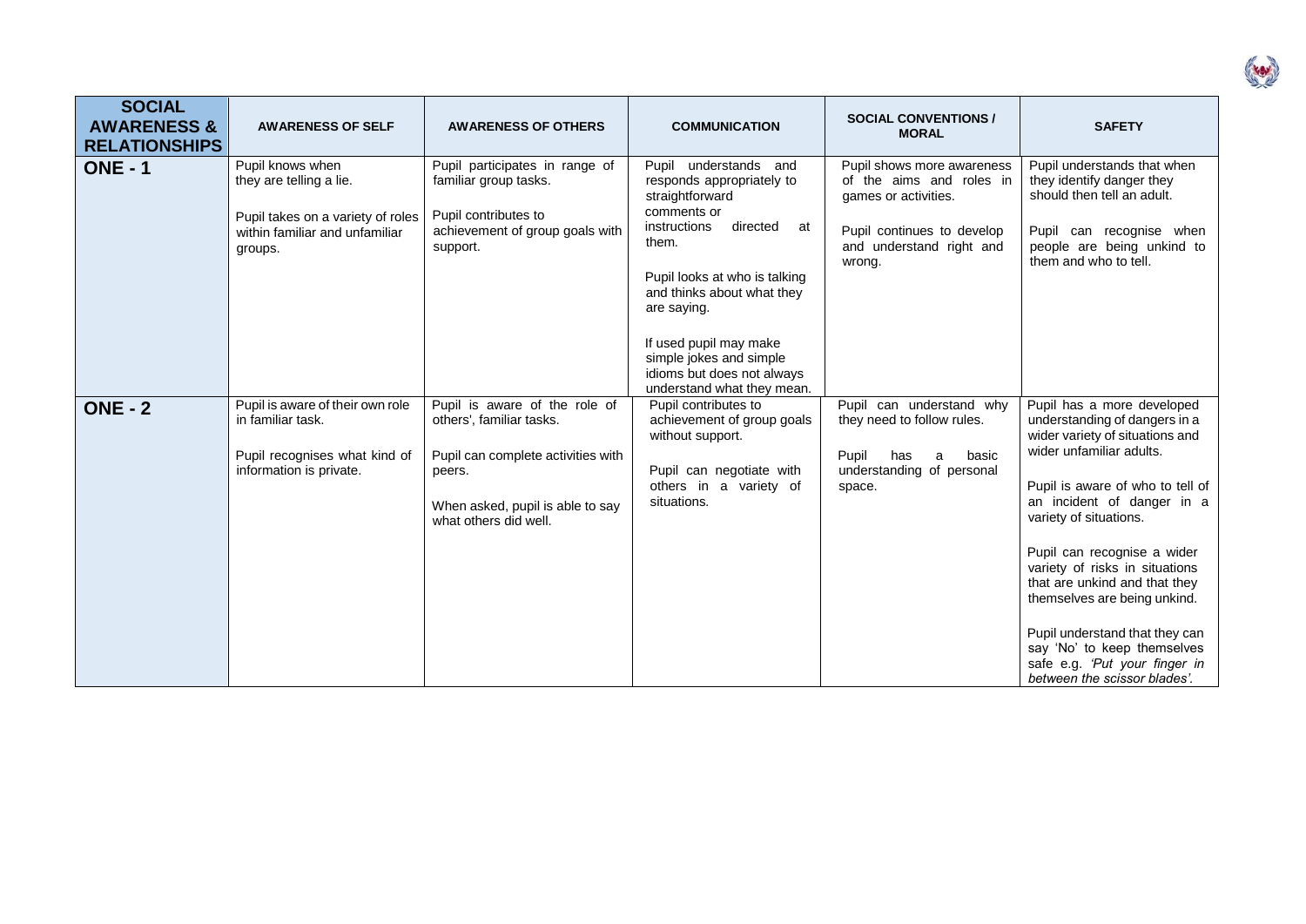| <b>SOCIAL</b><br><b>AWARENESS &amp;</b><br><b>RELATIONSHIPS</b> | <b>AWARENESS OF SELF</b>                                                                                                      | <b>AWARENESS OF OTHERS</b>                                                                                                                                             | <b>COMMUNICATION</b>                                                                                                                                                                                                                                                                                                           | <b>SOCIAL CONVENTIONS /</b><br><b>MORAL</b>                                                                                                        | <b>SAFETY</b>                                                                                                                                                                                                                                                                                                                                                                                                                                                                              |
|-----------------------------------------------------------------|-------------------------------------------------------------------------------------------------------------------------------|------------------------------------------------------------------------------------------------------------------------------------------------------------------------|--------------------------------------------------------------------------------------------------------------------------------------------------------------------------------------------------------------------------------------------------------------------------------------------------------------------------------|----------------------------------------------------------------------------------------------------------------------------------------------------|--------------------------------------------------------------------------------------------------------------------------------------------------------------------------------------------------------------------------------------------------------------------------------------------------------------------------------------------------------------------------------------------------------------------------------------------------------------------------------------------|
| <b>ONE - 1</b>                                                  | Pupil knows when<br>they are telling a lie.<br>Pupil takes on a variety of roles<br>within familiar and unfamiliar<br>groups. | Pupil participates in range of<br>familiar group tasks.<br>Pupil contributes to<br>achievement of group goals with<br>support.                                         | Pupil understands and<br>responds appropriately to<br>straightforward<br>comments or<br>instructions<br>directed<br>at<br>them.<br>Pupil looks at who is talking<br>and thinks about what they<br>are saying.<br>If used pupil may make<br>simple jokes and simple<br>idioms but does not always<br>understand what they mean. | Pupil shows more awareness<br>of the aims and roles in<br>games or activities.<br>Pupil continues to develop<br>and understand right and<br>wrong. | Pupil understands that when<br>they identify danger they<br>should then tell an adult.<br>Pupil can recognise when<br>people are being unkind to<br>them and who to tell.                                                                                                                                                                                                                                                                                                                  |
| <b>ONE - 2</b>                                                  | Pupil is aware of their own role<br>in familiar task.<br>Pupil recognises what kind of<br>information is private.             | Pupil is aware of the role of<br>others', familiar tasks.<br>Pupil can complete activities with<br>peers.<br>When asked, pupil is able to say<br>what others did well. | Pupil contributes to<br>achievement of group goals<br>without support.<br>Pupil can negotiate with<br>others in a variety of<br>situations.                                                                                                                                                                                    | Pupil can understand why<br>they need to follow rules.<br>Pupil<br>has<br>basic<br>a<br>understanding of personal<br>space.                        | Pupil has a more developed<br>understanding of dangers in a<br>wider variety of situations and<br>wider unfamiliar adults.<br>Pupil is aware of who to tell of<br>an incident of danger in a<br>variety of situations.<br>Pupil can recognise a wider<br>variety of risks in situations<br>that are unkind and that they<br>themselves are being unkind.<br>Pupil understand that they can<br>say 'No' to keep themselves<br>safe e.g. 'Put your finger in<br>between the scissor blades'. |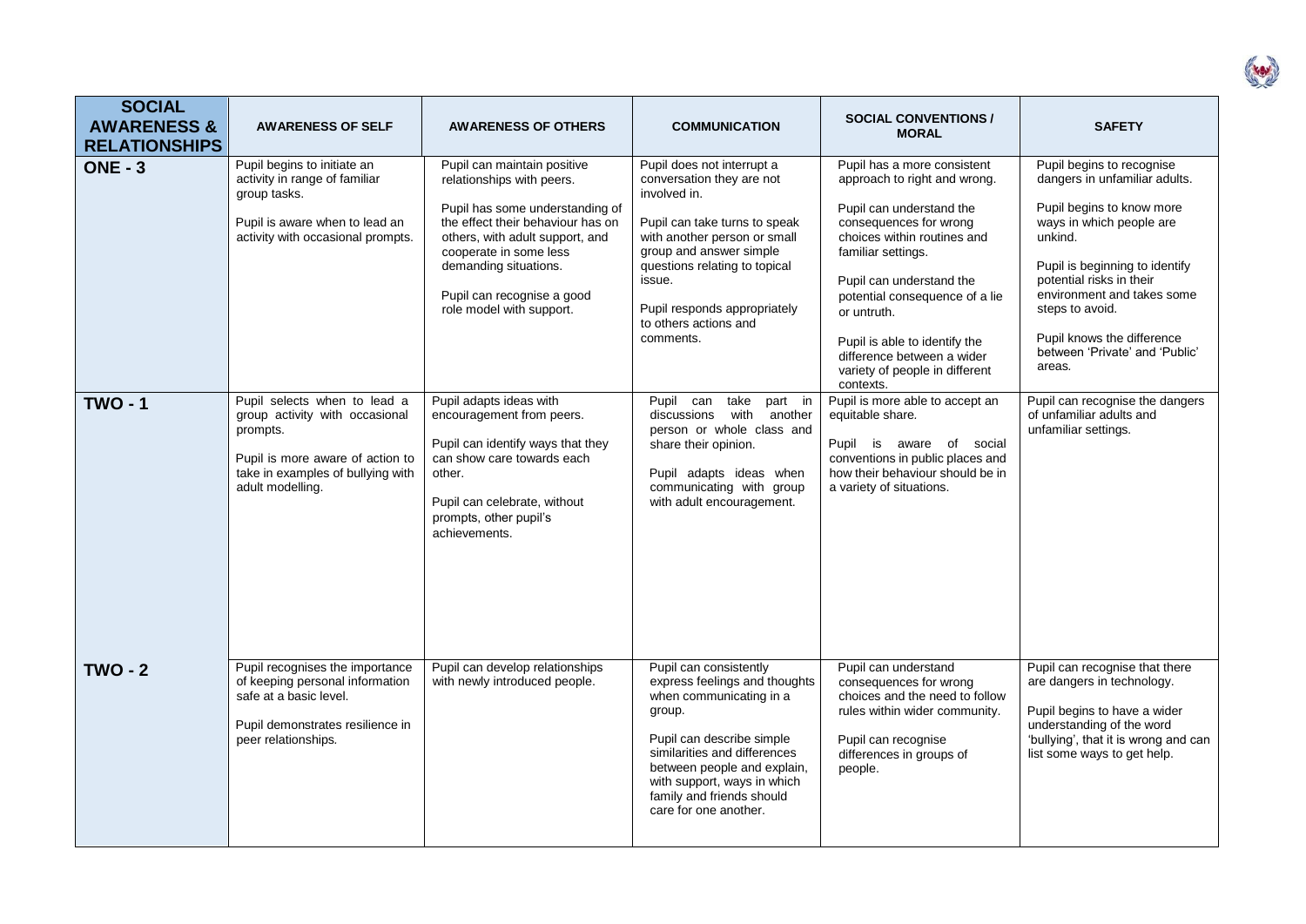| <b>SOCIAL</b><br><b>AWARENESS &amp;</b><br><b>RELATIONSHIPS</b> | <b>AWARENESS OF SELF</b>                                                                                                                                                | <b>AWARENESS OF OTHERS</b>                                                                                                                                                                                                                                                       | <b>COMMUNICATION</b>                                                                                                                                                                                                                                                                 | <b>SOCIAL CONVENTIONS /</b><br><b>MORAL</b>                                                                                                                                                                                                                                                                                                                       | <b>SAFETY</b>                                                                                                                                                                                                                                                                                                           |
|-----------------------------------------------------------------|-------------------------------------------------------------------------------------------------------------------------------------------------------------------------|----------------------------------------------------------------------------------------------------------------------------------------------------------------------------------------------------------------------------------------------------------------------------------|--------------------------------------------------------------------------------------------------------------------------------------------------------------------------------------------------------------------------------------------------------------------------------------|-------------------------------------------------------------------------------------------------------------------------------------------------------------------------------------------------------------------------------------------------------------------------------------------------------------------------------------------------------------------|-------------------------------------------------------------------------------------------------------------------------------------------------------------------------------------------------------------------------------------------------------------------------------------------------------------------------|
| <b>ONE - 3</b>                                                  | Pupil begins to initiate an<br>activity in range of familiar<br>group tasks.<br>Pupil is aware when to lead an<br>activity with occasional prompts.                     | Pupil can maintain positive<br>relationships with peers.<br>Pupil has some understanding of<br>the effect their behaviour has on<br>others, with adult support, and<br>cooperate in some less<br>demanding situations.<br>Pupil can recognise a good<br>role model with support. | Pupil does not interrupt a<br>conversation they are not<br>involved in.<br>Pupil can take turns to speak<br>with another person or small<br>group and answer simple<br>questions relating to topical<br>issue.<br>Pupil responds appropriately<br>to others actions and<br>comments. | Pupil has a more consistent<br>approach to right and wrong.<br>Pupil can understand the<br>consequences for wrong<br>choices within routines and<br>familiar settings.<br>Pupil can understand the<br>potential consequence of a lie<br>or untruth.<br>Pupil is able to identify the<br>difference between a wider<br>variety of people in different<br>contexts. | Pupil begins to recognise<br>dangers in unfamiliar adults.<br>Pupil begins to know more<br>ways in which people are<br>unkind.<br>Pupil is beginning to identify<br>potential risks in their<br>environment and takes some<br>steps to avoid.<br>Pupil knows the difference<br>between 'Private' and 'Public'<br>areas. |
| <b>TWO - 1</b>                                                  | Pupil selects when to lead a<br>group activity with occasional<br>prompts.<br>Pupil is more aware of action to<br>take in examples of bullying with<br>adult modelling. | Pupil adapts ideas with<br>encouragement from peers.<br>Pupil can identify ways that they<br>can show care towards each<br>other.<br>Pupil can celebrate, without<br>prompts, other pupil's<br>achievements.                                                                     | take<br>Pupil can<br>part in<br>with another<br>discussions<br>person or whole class and<br>share their opinion.<br>Pupil adapts ideas when<br>communicating with group<br>with adult encouragement.                                                                                 | Pupil is more able to accept an<br>equitable share.<br>Pupil is aware of social<br>conventions in public places and<br>how their behaviour should be in<br>a variety of situations.                                                                                                                                                                               | Pupil can recognise the dangers<br>of unfamiliar adults and<br>unfamiliar settings.                                                                                                                                                                                                                                     |
| $TWO - 2$                                                       | Pupil recognises the importance<br>of keeping personal information<br>safe at a basic level.<br>Pupil demonstrates resilience in<br>peer relationships.                 | Pupil can develop relationships<br>with newly introduced people.                                                                                                                                                                                                                 | Pupil can consistently<br>express feelings and thoughts<br>when communicating in a<br>group.<br>Pupil can describe simple<br>similarities and differences<br>between people and explain,<br>with support, ways in which<br>family and friends should<br>care for one another.        | Pupil can understand<br>consequences for wrong<br>choices and the need to follow<br>rules within wider community.<br>Pupil can recognise<br>differences in groups of<br>people.                                                                                                                                                                                   | Pupil can recognise that there<br>are dangers in technology.<br>Pupil begins to have a wider<br>understanding of the word<br>'bullying', that it is wrong and can<br>list some ways to get help.                                                                                                                        |

( Kg)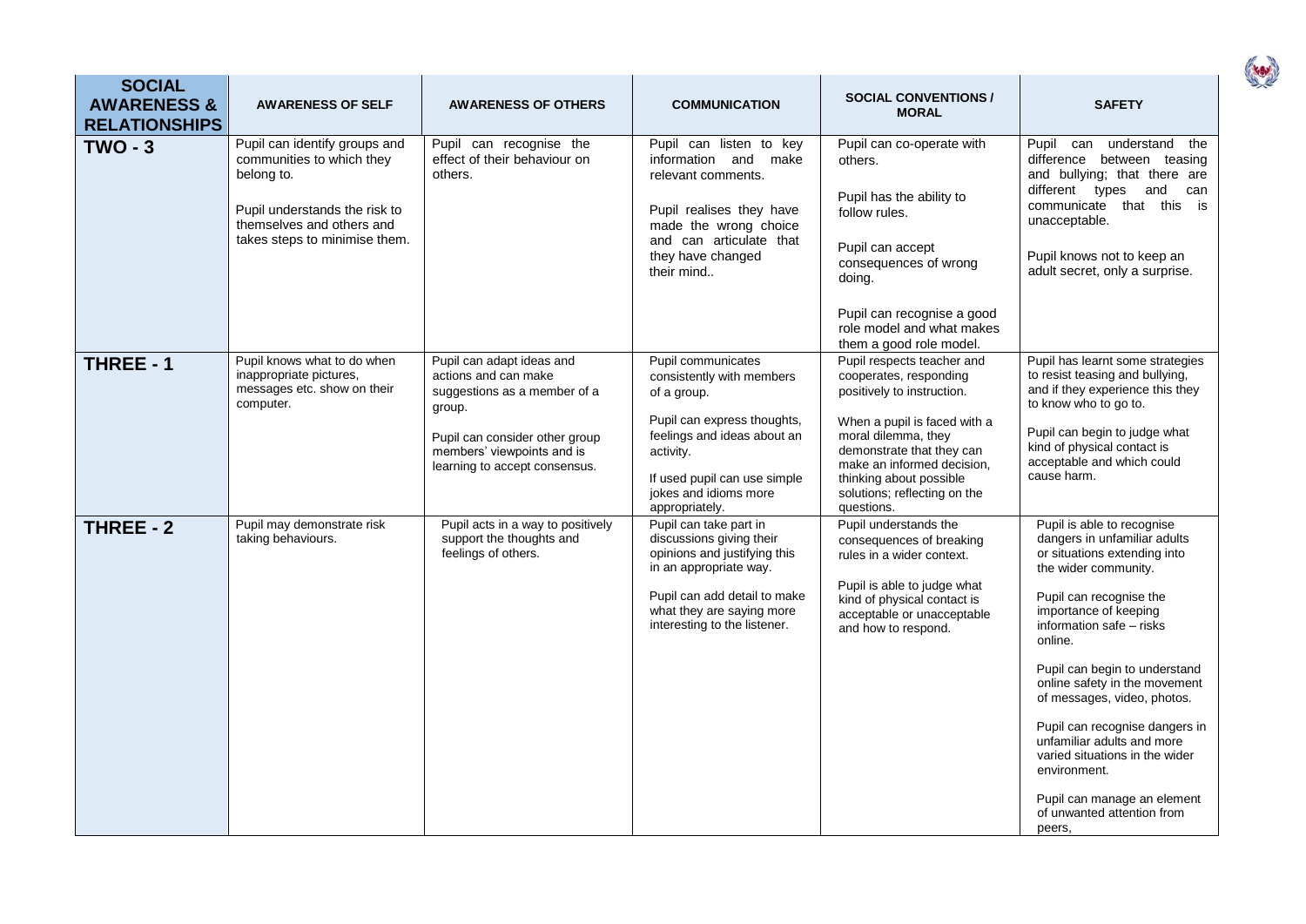| <b>SOCIAL</b><br><b>AWARENESS &amp;</b><br><b>RELATIONSHIPS</b> | <b>AWARENESS OF SELF</b>                                                                                                                                                | <b>AWARENESS OF OTHERS</b>                                                                                                                                                                   | <b>COMMUNICATION</b>                                                                                                                                                                                                 | <b>SOCIAL CONVENTIONS /</b><br><b>MORAL</b>                                                                                                                                                                                                                                                              | <b>SAFETY</b>                                                                                                                                                                                                                                                                                                                                                                                                                                                                                           |
|-----------------------------------------------------------------|-------------------------------------------------------------------------------------------------------------------------------------------------------------------------|----------------------------------------------------------------------------------------------------------------------------------------------------------------------------------------------|----------------------------------------------------------------------------------------------------------------------------------------------------------------------------------------------------------------------|----------------------------------------------------------------------------------------------------------------------------------------------------------------------------------------------------------------------------------------------------------------------------------------------------------|---------------------------------------------------------------------------------------------------------------------------------------------------------------------------------------------------------------------------------------------------------------------------------------------------------------------------------------------------------------------------------------------------------------------------------------------------------------------------------------------------------|
| $TWO - 3$                                                       | Pupil can identify groups and<br>communities to which they<br>belong to.<br>Pupil understands the risk to<br>themselves and others and<br>takes steps to minimise them. | Pupil can recognise the<br>effect of their behaviour on<br>others.                                                                                                                           | Pupil can listen to key<br>information and make<br>relevant comments.<br>Pupil realises they have<br>made the wrong choice<br>and can articulate that<br>they have changed<br>their mind                             | Pupil can co-operate with<br>others.<br>Pupil has the ability to<br>follow rules.<br>Pupil can accept<br>consequences of wrong<br>doing.<br>Pupil can recognise a good<br>role model and what makes                                                                                                      | Pupil can understand<br>the<br>difference between teasing<br>and bullying; that there are<br>different types and<br>can<br>communicate that this is<br>unacceptable.<br>Pupil knows not to keep an<br>adult secret, only a surprise.                                                                                                                                                                                                                                                                    |
| <b>THREE - 1</b>                                                | Pupil knows what to do when<br>inappropriate pictures,<br>messages etc. show on their<br>computer.                                                                      | Pupil can adapt ideas and<br>actions and can make<br>suggestions as a member of a<br>group.<br>Pupil can consider other group<br>members' viewpoints and is<br>learning to accept consensus. | Pupil communicates<br>consistently with members<br>of a group.<br>Pupil can express thoughts,<br>feelings and ideas about an<br>activity.<br>If used pupil can use simple<br>jokes and idioms more<br>appropriately. | them a good role model.<br>Pupil respects teacher and<br>cooperates, responding<br>positively to instruction.<br>When a pupil is faced with a<br>moral dilemma, they<br>demonstrate that they can<br>make an informed decision,<br>thinking about possible<br>solutions; reflecting on the<br>questions. | Pupil has learnt some strategies<br>to resist teasing and bullying,<br>and if they experience this they<br>to know who to go to.<br>Pupil can begin to judge what<br>kind of physical contact is<br>acceptable and which could<br>cause harm.                                                                                                                                                                                                                                                           |
| THREE - 2                                                       | Pupil may demonstrate risk<br>taking behaviours.                                                                                                                        | Pupil acts in a way to positively<br>support the thoughts and<br>feelings of others.                                                                                                         | Pupil can take part in<br>discussions giving their<br>opinions and justifying this<br>in an appropriate way.<br>Pupil can add detail to make<br>what they are saying more<br>interesting to the listener.            | Pupil understands the<br>consequences of breaking<br>rules in a wider context.<br>Pupil is able to judge what<br>kind of physical contact is<br>acceptable or unacceptable<br>and how to respond.                                                                                                        | Pupil is able to recognise<br>dangers in unfamiliar adults<br>or situations extending into<br>the wider community.<br>Pupil can recognise the<br>importance of keeping<br>information safe - risks<br>online.<br>Pupil can begin to understand<br>online safety in the movement<br>of messages, video, photos.<br>Pupil can recognise dangers in<br>unfamiliar adults and more<br>varied situations in the wider<br>environment.<br>Pupil can manage an element<br>of unwanted attention from<br>peers, |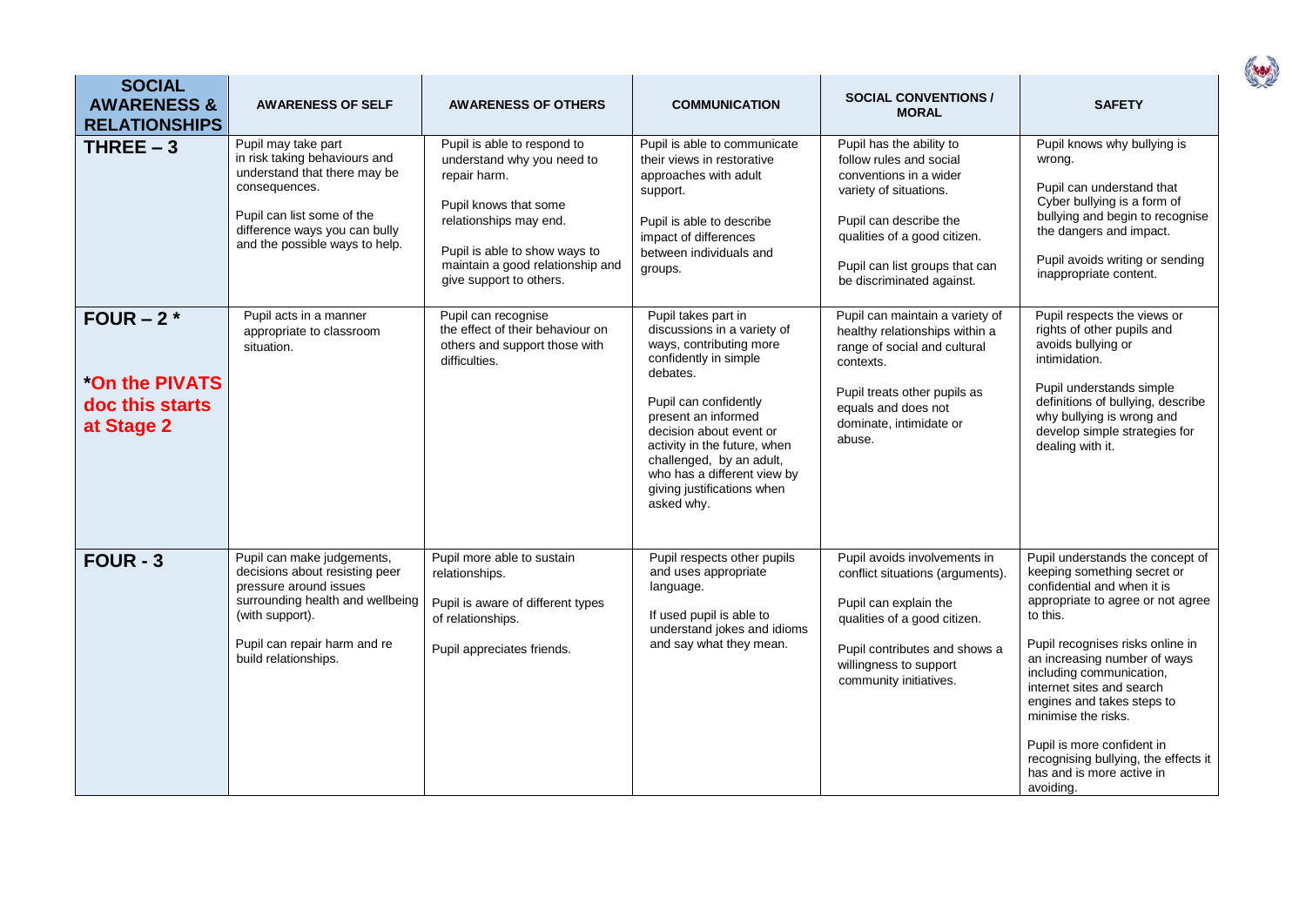| <b>SOCIAL</b><br><b>AWARENESS &amp;</b><br><b>RELATIONSHIPS</b>        | <b>AWARENESS OF SELF</b>                                                                                                                                                                               | <b>AWARENESS OF OTHERS</b>                                                                                                                                                                                                   | <b>COMMUNICATION</b>                                                                                                                                                                                                                                                                                                                 | <b>SOCIAL CONVENTIONS /</b><br><b>MORAL</b>                                                                                                                                                                                      | <b>SAFETY</b>                                                                                                                                                                                                                                                                                                                                                                                                                                     |
|------------------------------------------------------------------------|--------------------------------------------------------------------------------------------------------------------------------------------------------------------------------------------------------|------------------------------------------------------------------------------------------------------------------------------------------------------------------------------------------------------------------------------|--------------------------------------------------------------------------------------------------------------------------------------------------------------------------------------------------------------------------------------------------------------------------------------------------------------------------------------|----------------------------------------------------------------------------------------------------------------------------------------------------------------------------------------------------------------------------------|---------------------------------------------------------------------------------------------------------------------------------------------------------------------------------------------------------------------------------------------------------------------------------------------------------------------------------------------------------------------------------------------------------------------------------------------------|
| THREE $-3$                                                             | Pupil may take part<br>in risk taking behaviours and<br>understand that there may be<br>consequences.<br>Pupil can list some of the<br>difference ways you can bully<br>and the possible ways to help. | Pupil is able to respond to<br>understand why you need to<br>repair harm.<br>Pupil knows that some<br>relationships may end.<br>Pupil is able to show ways to<br>maintain a good relationship and<br>give support to others. | Pupil is able to communicate<br>their views in restorative<br>approaches with adult<br>support.<br>Pupil is able to describe<br>impact of differences<br>between individuals and<br>groups.                                                                                                                                          | Pupil has the ability to<br>follow rules and social<br>conventions in a wider<br>variety of situations.<br>Pupil can describe the<br>qualities of a good citizen.<br>Pupil can list groups that can<br>be discriminated against. | Pupil knows why bullying is<br>wrong.<br>Pupil can understand that<br>Cyber bullying is a form of<br>bullying and begin to recognise<br>the dangers and impact.<br>Pupil avoids writing or sending<br>inappropriate content.                                                                                                                                                                                                                      |
| FOUR $-2$ $*$<br><b>On the PIVATS</b><br>doc this starts<br>at Stage 2 | Pupil acts in a manner<br>appropriate to classroom<br>situation.                                                                                                                                       | Pupil can recognise<br>the effect of their behaviour on<br>others and support those with<br>difficulties.                                                                                                                    | Pupil takes part in<br>discussions in a variety of<br>ways, contributing more<br>confidently in simple<br>debates.<br>Pupil can confidently<br>present an informed<br>decision about event or<br>activity in the future, when<br>challenged, by an adult,<br>who has a different view by<br>giving justifications when<br>asked why. | Pupil can maintain a variety of<br>healthy relationships within a<br>range of social and cultural<br>contexts.<br>Pupil treats other pupils as<br>equals and does not<br>dominate, intimidate or<br>abuse.                       | Pupil respects the views or<br>rights of other pupils and<br>avoids bullying or<br>intimidation.<br>Pupil understands simple<br>definitions of bullying, describe<br>why bullying is wrong and<br>develop simple strategies for<br>dealing with it.                                                                                                                                                                                               |
| $FOUR - 3$                                                             | Pupil can make judgements,<br>decisions about resisting peer<br>pressure around issues<br>surrounding health and wellbeing<br>(with support).<br>Pupil can repair harm and re<br>build relationships.  | Pupil more able to sustain<br>relationships.<br>Pupil is aware of different types<br>of relationships.<br>Pupil appreciates friends.                                                                                         | Pupil respects other pupils<br>and uses appropriate<br>language.<br>If used pupil is able to<br>understand jokes and idioms<br>and say what they mean.                                                                                                                                                                               | Pupil avoids involvements in<br>conflict situations (arguments).<br>Pupil can explain the<br>qualities of a good citizen.<br>Pupil contributes and shows a<br>willingness to support<br>community initiatives.                   | Pupil understands the concept of<br>keeping something secret or<br>confidential and when it is<br>appropriate to agree or not agree<br>to this.<br>Pupil recognises risks online in<br>an increasing number of ways<br>including communication,<br>internet sites and search<br>engines and takes steps to<br>minimise the risks.<br>Pupil is more confident in<br>recognising bullying, the effects it<br>has and is more active in<br>avoiding. |